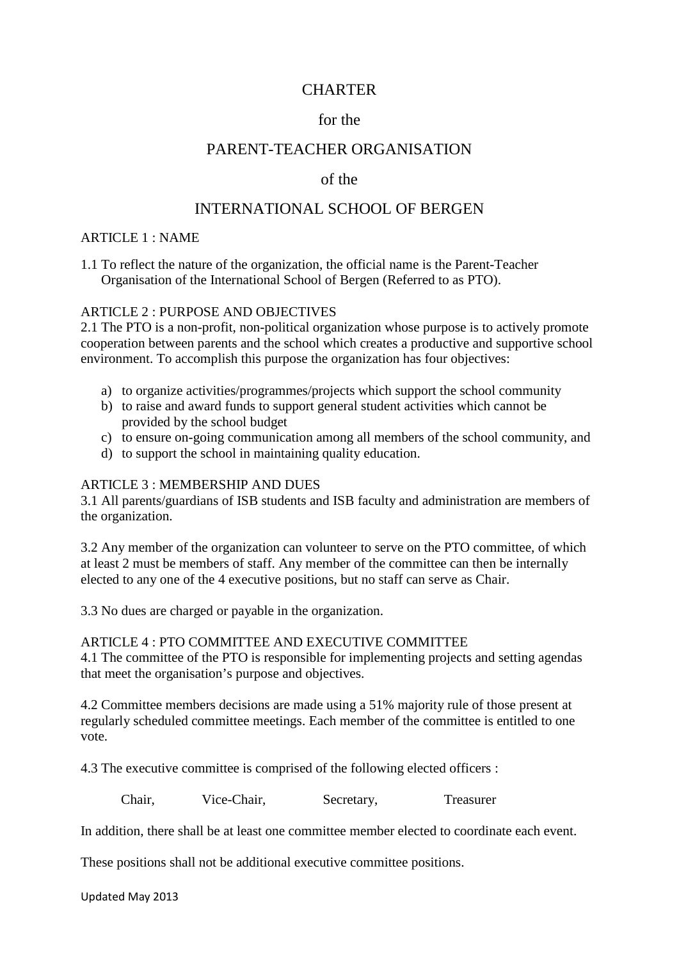# **CHARTER**

# for the

## PARENT-TEACHER ORGANISATION

### of the

# INTERNATIONAL SCHOOL OF BERGEN

#### ARTICLE 1 : NAME

1.1 To reflect the nature of the organization, the official name is the Parent-Teacher Organisation of the International School of Bergen (Referred to as PTO).

#### ARTICLE 2 : PURPOSE AND OBJECTIVES

2.1 The PTO is a non-profit, non-political organization whose purpose is to actively promote cooperation between parents and the school which creates a productive and supportive school environment. To accomplish this purpose the organization has four objectives:

- a) to organize activities/programmes/projects which support the school community
- b) to raise and award funds to support general student activities which cannot be provided by the school budget
- c) to ensure on-going communication among all members of the school community, and
- d) to support the school in maintaining quality education.

#### ARTICLE 3 : MEMBERSHIP AND DUES

3.1 All parents/guardians of ISB students and ISB faculty and administration are members of the organization.

3.2 Any member of the organization can volunteer to serve on the PTO committee, of which at least 2 must be members of staff. Any member of the committee can then be internally elected to any one of the 4 executive positions, but no staff can serve as Chair.

3.3 No dues are charged or payable in the organization.

#### ARTICLE 4 : PTO COMMITTEE AND EXECUTIVE COMMITTEE

4.1 The committee of the PTO is responsible for implementing projects and setting agendas that meet the organisation's purpose and objectives.

4.2 Committee members decisions are made using a 51% majority rule of those present at regularly scheduled committee meetings. Each member of the committee is entitled to one vote.

4.3 The executive committee is comprised of the following elected officers :

Chair, Vice-Chair, Secretary, Treasurer

In addition, there shall be at least one committee member elected to coordinate each event.

These positions shall not be additional executive committee positions.

Updated May 2013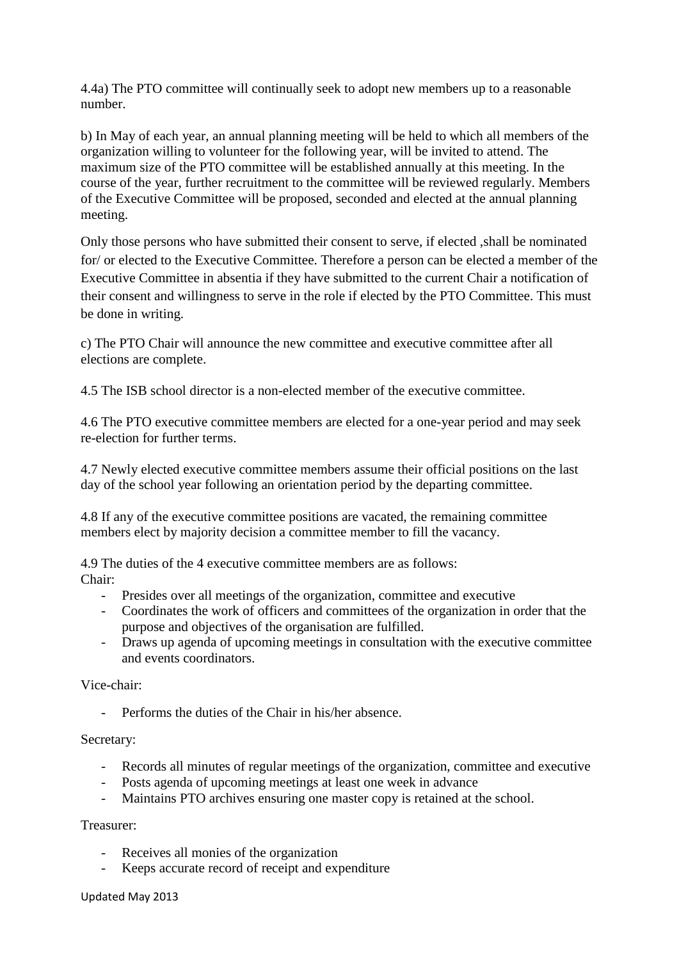4.4a) The PTO committee will continually seek to adopt new members up to a reasonable number.

b) In May of each year, an annual planning meeting will be held to which all members of the organization willing to volunteer for the following year, will be invited to attend. The maximum size of the PTO committee will be established annually at this meeting. In the course of the year, further recruitment to the committee will be reviewed regularly. Members of the Executive Committee will be proposed, seconded and elected at the annual planning meeting.

Only those persons who have submitted their consent to serve, if elected ,shall be nominated for/ or elected to the Executive Committee. Therefore a person can be elected a member of the Executive Committee in absentia if they have submitted to the current Chair a notification of their consent and willingness to serve in the role if elected by the PTO Committee. This must be done in writing.

c) The PTO Chair will announce the new committee and executive committee after all elections are complete.

4.5 The ISB school director is a non-elected member of the executive committee.

4.6 The PTO executive committee members are elected for a one-year period and may seek re-election for further terms.

4.7 Newly elected executive committee members assume their official positions on the last day of the school year following an orientation period by the departing committee.

4.8 If any of the executive committee positions are vacated, the remaining committee members elect by majority decision a committee member to fill the vacancy.

4.9 The duties of the 4 executive committee members are as follows: Chair:

- Presides over all meetings of the organization, committee and executive
- Coordinates the work of officers and committees of the organization in order that the purpose and objectives of the organisation are fulfilled.
- Draws up agenda of upcoming meetings in consultation with the executive committee and events coordinators.

### Vice-chair:

- Performs the duties of the Chair in his/her absence.

### Secretary:

- Records all minutes of regular meetings of the organization, committee and executive
- Posts agenda of upcoming meetings at least one week in advance
- Maintains PTO archives ensuring one master copy is retained at the school.

#### Treasurer:

- Receives all monies of the organization
- Keeps accurate record of receipt and expenditure